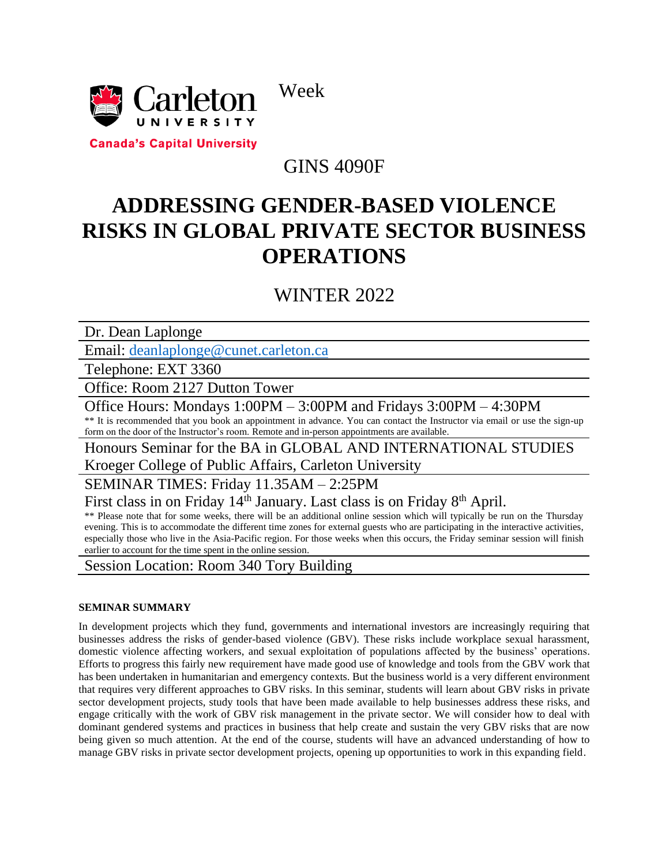



**Canada's Capital University** 

## GINS 4090F

# **ADDRESSING GENDER-BASED VIOLENCE RISKS IN GLOBAL PRIVATE SECTOR BUSINESS OPERATIONS**

## WINTER 2022

Dr. Dean Laplonge

Email: [deanlaplonge@cunet.carleton.ca](mailto:deanlaplonge@cunet.carleton.ca)

Telephone: EXT 3360

Office: Room 2127 Dutton Tower

Office Hours: Mondays 1:00PM – 3:00PM and Fridays 3:00PM – 4:30PM \*\* It is recommended that you book an appointment in advance. You can contact the Instructor via email or use the sign-up

form on the door of the Instructor's room. Remote and in-person appointments are available.

Honours Seminar for the BA in GLOBAL AND INTERNATIONAL STUDIES

Kroeger College of Public Affairs, Carleton University

SEMINAR TIMES: Friday 11.35AM – 2:25PM

First class in on Friday 14<sup>th</sup> January. Last class is on Friday 8<sup>th</sup> April.

\*\* Please note that for some weeks, there will be an additional online session which will typically be run on the Thursday evening. This is to accommodate the different time zones for external guests who are participating in the interactive activities, especially those who live in the Asia-Pacific region. For those weeks when this occurs, the Friday seminar session will finish earlier to account for the time spent in the online session.

Session Location: Room 340 Tory Building

## **SEMINAR SUMMARY**

In development projects which they fund, governments and international investors are increasingly requiring that businesses address the risks of gender-based violence (GBV). These risks include workplace sexual harassment, domestic violence affecting workers, and sexual exploitation of populations affected by the business' operations. Efforts to progress this fairly new requirement have made good use of knowledge and tools from the GBV work that has been undertaken in humanitarian and emergency contexts. But the business world is a very different environment that requires very different approaches to GBV risks. In this seminar, students will learn about GBV risks in private sector development projects, study tools that have been made available to help businesses address these risks, and engage critically with the work of GBV risk management in the private sector. We will consider how to deal with dominant gendered systems and practices in business that help create and sustain the very GBV risks that are now being given so much attention. At the end of the course, students will have an advanced understanding of how to manage GBV risks in private sector development projects, opening up opportunities to work in this expanding field.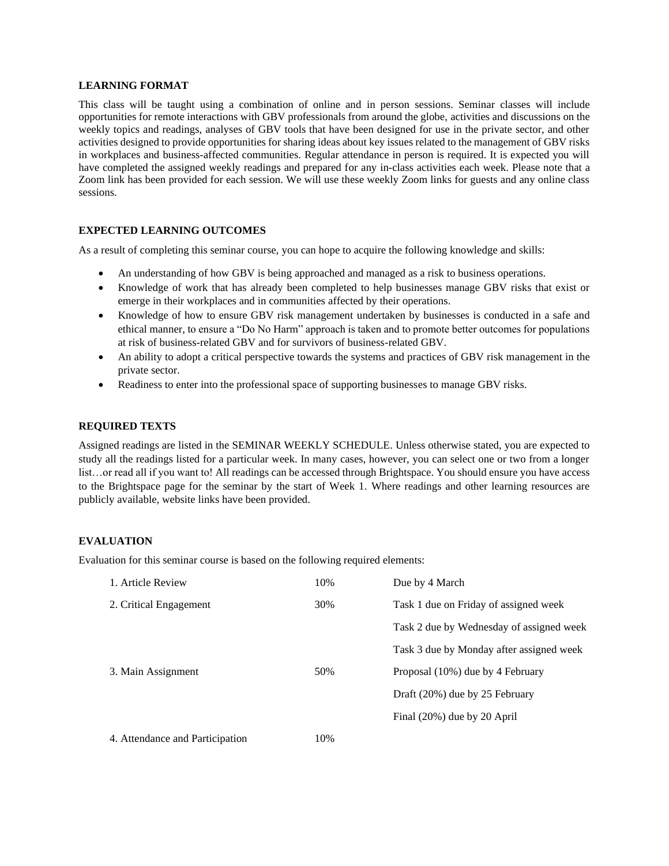#### **LEARNING FORMAT**

This class will be taught using a combination of online and in person sessions. Seminar classes will include opportunities for remote interactions with GBV professionals from around the globe, activities and discussions on the weekly topics and readings, analyses of GBV tools that have been designed for use in the private sector, and other activities designed to provide opportunities for sharing ideas about key issues related to the management of GBV risks in workplaces and business-affected communities. Regular attendance in person is required. It is expected you will have completed the assigned weekly readings and prepared for any in-class activities each week. Please note that a Zoom link has been provided for each session. We will use these weekly Zoom links for guests and any online class sessions.

## **EXPECTED LEARNING OUTCOMES**

As a result of completing this seminar course, you can hope to acquire the following knowledge and skills:

- An understanding of how GBV is being approached and managed as a risk to business operations.
- Knowledge of work that has already been completed to help businesses manage GBV risks that exist or emerge in their workplaces and in communities affected by their operations.
- Knowledge of how to ensure GBV risk management undertaken by businesses is conducted in a safe and ethical manner, to ensure a "Do No Harm" approach is taken and to promote better outcomes for populations at risk of business-related GBV and for survivors of business-related GBV.
- An ability to adopt a critical perspective towards the systems and practices of GBV risk management in the private sector.
- Readiness to enter into the professional space of supporting businesses to manage GBV risks.

### **REQUIRED TEXTS**

Assigned readings are listed in the SEMINAR WEEKLY SCHEDULE. Unless otherwise stated, you are expected to study all the readings listed for a particular week. In many cases, however, you can select one or two from a longer list…or read all if you want to! All readings can be accessed through Brightspace. You should ensure you have access to the Brightspace page for the seminar by the start of Week 1. Where readings and other learning resources are publicly available, website links have been provided.

## **EVALUATION**

Evaluation for this seminar course is based on the following required elements:

| 1. Article Review               | 10% | Due by 4 March                           |
|---------------------------------|-----|------------------------------------------|
| 2. Critical Engagement          | 30% | Task 1 due on Friday of assigned week    |
|                                 |     | Task 2 due by Wednesday of assigned week |
|                                 |     | Task 3 due by Monday after assigned week |
| 3. Main Assignment              | 50% | Proposal (10%) due by 4 February         |
|                                 |     | Draft (20%) due by 25 February           |
|                                 |     | Final (20%) due by 20 April              |
| 4. Attendance and Participation | 10% |                                          |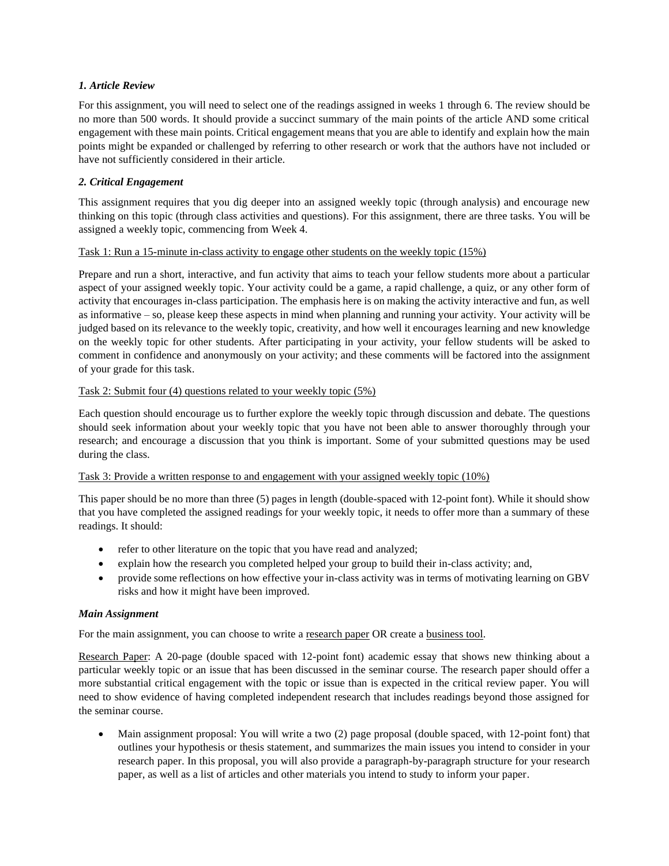## *1. Article Review*

For this assignment, you will need to select one of the readings assigned in weeks 1 through 6. The review should be no more than 500 words. It should provide a succinct summary of the main points of the article AND some critical engagement with these main points. Critical engagement means that you are able to identify and explain how the main points might be expanded or challenged by referring to other research or work that the authors have not included or have not sufficiently considered in their article.

## *2. Critical Engagement*

This assignment requires that you dig deeper into an assigned weekly topic (through analysis) and encourage new thinking on this topic (through class activities and questions). For this assignment, there are three tasks. You will be assigned a weekly topic, commencing from Week 4.

## Task 1: Run a 15-minute in-class activity to engage other students on the weekly topic (15%)

Prepare and run a short, interactive, and fun activity that aims to teach your fellow students more about a particular aspect of your assigned weekly topic. Your activity could be a game, a rapid challenge, a quiz, or any other form of activity that encourages in-class participation. The emphasis here is on making the activity interactive and fun, as well as informative – so, please keep these aspects in mind when planning and running your activity. Your activity will be judged based on its relevance to the weekly topic, creativity, and how well it encourages learning and new knowledge on the weekly topic for other students. After participating in your activity, your fellow students will be asked to comment in confidence and anonymously on your activity; and these comments will be factored into the assignment of your grade for this task.

## Task 2: Submit four (4) questions related to your weekly topic (5%)

Each question should encourage us to further explore the weekly topic through discussion and debate. The questions should seek information about your weekly topic that you have not been able to answer thoroughly through your research; and encourage a discussion that you think is important. Some of your submitted questions may be used during the class.

## Task 3: Provide a written response to and engagement with your assigned weekly topic (10%)

This paper should be no more than three (5) pages in length (double-spaced with 12-point font). While it should show that you have completed the assigned readings for your weekly topic, it needs to offer more than a summary of these readings. It should:

- refer to other literature on the topic that you have read and analyzed;
- explain how the research you completed helped your group to build their in-class activity; and,
- provide some reflections on how effective your in-class activity was in terms of motivating learning on GBV risks and how it might have been improved.

## *Main Assignment*

For the main assignment, you can choose to write a research paper OR create a business tool.

Research Paper: A 20-page (double spaced with 12-point font) academic essay that shows new thinking about a particular weekly topic or an issue that has been discussed in the seminar course. The research paper should offer a more substantial critical engagement with the topic or issue than is expected in the critical review paper. You will need to show evidence of having completed independent research that includes readings beyond those assigned for the seminar course.

• Main assignment proposal: You will write a two (2) page proposal (double spaced, with 12-point font) that outlines your hypothesis or thesis statement, and summarizes the main issues you intend to consider in your research paper. In this proposal, you will also provide a paragraph-by-paragraph structure for your research paper, as well as a list of articles and other materials you intend to study to inform your paper.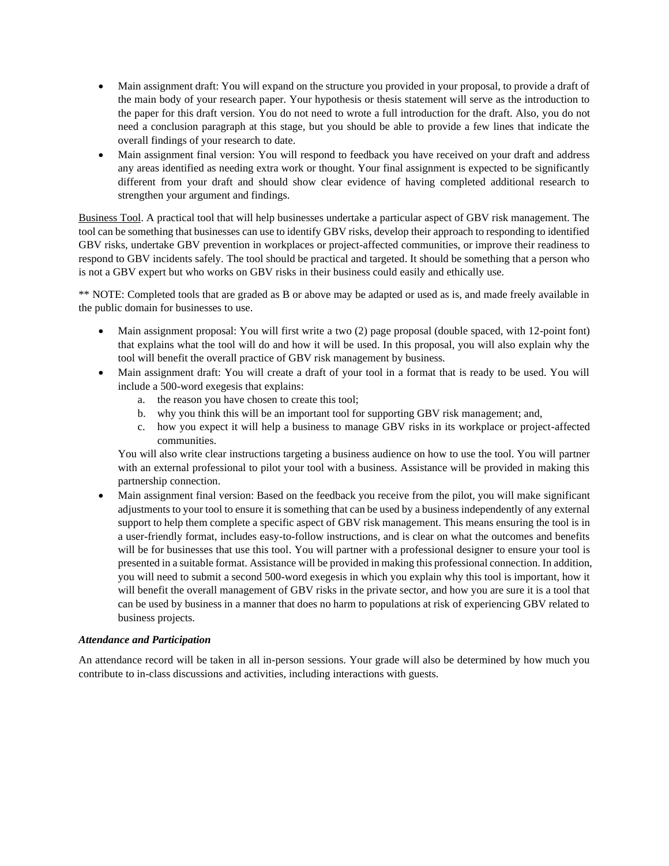- Main assignment draft: You will expand on the structure you provided in your proposal, to provide a draft of the main body of your research paper. Your hypothesis or thesis statement will serve as the introduction to the paper for this draft version. You do not need to wrote a full introduction for the draft. Also, you do not need a conclusion paragraph at this stage, but you should be able to provide a few lines that indicate the overall findings of your research to date.
- Main assignment final version: You will respond to feedback you have received on your draft and address any areas identified as needing extra work or thought. Your final assignment is expected to be significantly different from your draft and should show clear evidence of having completed additional research to strengthen your argument and findings.

Business Tool. A practical tool that will help businesses undertake a particular aspect of GBV risk management. The tool can be something that businesses can use to identify GBV risks, develop their approach to responding to identified GBV risks, undertake GBV prevention in workplaces or project-affected communities, or improve their readiness to respond to GBV incidents safely. The tool should be practical and targeted. It should be something that a person who is not a GBV expert but who works on GBV risks in their business could easily and ethically use.

\*\* NOTE: Completed tools that are graded as B or above may be adapted or used as is, and made freely available in the public domain for businesses to use.

- Main assignment proposal: You will first write a two (2) page proposal (double spaced, with 12-point font) that explains what the tool will do and how it will be used. In this proposal, you will also explain why the tool will benefit the overall practice of GBV risk management by business.
- Main assignment draft: You will create a draft of your tool in a format that is ready to be used. You will include a 500-word exegesis that explains:
	- a. the reason you have chosen to create this tool;
	- b. why you think this will be an important tool for supporting GBV risk management; and,
	- c. how you expect it will help a business to manage GBV risks in its workplace or project-affected communities.

You will also write clear instructions targeting a business audience on how to use the tool. You will partner with an external professional to pilot your tool with a business. Assistance will be provided in making this partnership connection.

• Main assignment final version: Based on the feedback you receive from the pilot, you will make significant adjustments to your tool to ensure it is something that can be used by a business independently of any external support to help them complete a specific aspect of GBV risk management. This means ensuring the tool is in a user-friendly format, includes easy-to-follow instructions, and is clear on what the outcomes and benefits will be for businesses that use this tool. You will partner with a professional designer to ensure your tool is presented in a suitable format. Assistance will be provided in making this professional connection. In addition, you will need to submit a second 500-word exegesis in which you explain why this tool is important, how it will benefit the overall management of GBV risks in the private sector, and how you are sure it is a tool that can be used by business in a manner that does no harm to populations at risk of experiencing GBV related to business projects.

## *Attendance and Participation*

An attendance record will be taken in all in-person sessions. Your grade will also be determined by how much you contribute to in-class discussions and activities, including interactions with guests.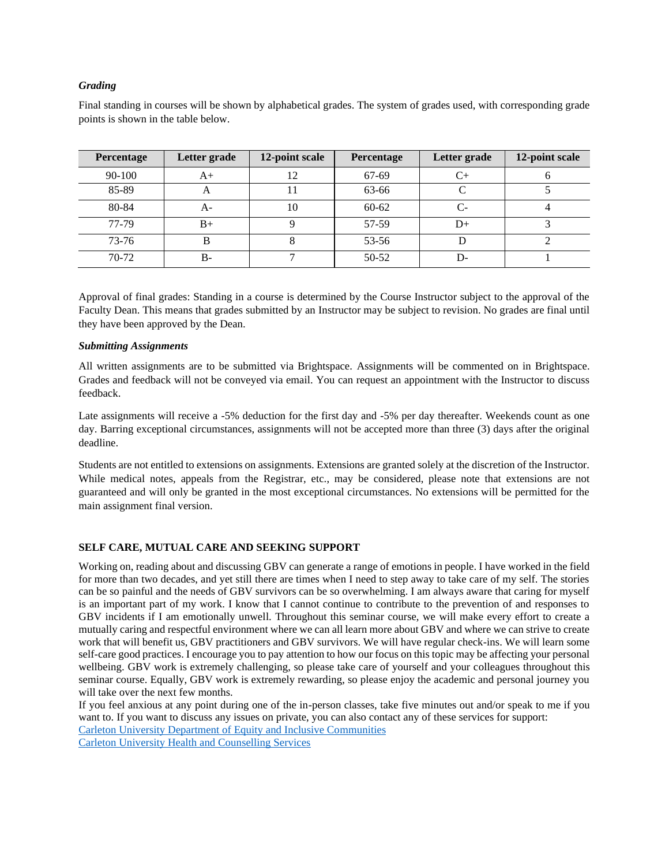## *Grading*

Final standing in courses will be shown by alphabetical grades. The system of grades used, with corresponding grade points is shown in the table below.

| <b>Percentage</b> | Letter grade | 12-point scale | Percentage | Letter grade | 12-point scale |
|-------------------|--------------|----------------|------------|--------------|----------------|
| $90 - 100$        | $A+$         | 12             | 67-69      | $C+$         |                |
| 85-89             | $\Delta$     |                | 63-66      |              |                |
| 80-84             | A-           | 10             | $60 - 62$  | C-           |                |
| 77-79             | $B+$         |                | 57-59      | D+           |                |
| $73 - 76$         |              |                | $53 - 56$  |              |                |
| 70-72             | $B -$        |                | $50 - 52$  | D-           |                |

Approval of final grades: Standing in a course is determined by the Course Instructor subject to the approval of the Faculty Dean. This means that grades submitted by an Instructor may be subject to revision. No grades are final until they have been approved by the Dean.

#### *Submitting Assignments*

All written assignments are to be submitted via Brightspace. Assignments will be commented on in Brightspace. Grades and feedback will not be conveyed via email. You can request an appointment with the Instructor to discuss feedback.

Late assignments will receive a -5% deduction for the first day and -5% per day thereafter. Weekends count as one day. Barring exceptional circumstances, assignments will not be accepted more than three (3) days after the original deadline.

Students are not entitled to extensions on assignments. Extensions are granted solely at the discretion of the Instructor. While medical notes, appeals from the Registrar, etc., may be considered, please note that extensions are not guaranteed and will only be granted in the most exceptional circumstances. No extensions will be permitted for the main assignment final version.

## **SELF CARE, MUTUAL CARE AND SEEKING SUPPORT**

Working on, reading about and discussing GBV can generate a range of emotions in people. I have worked in the field for more than two decades, and yet still there are times when I need to step away to take care of my self. The stories can be so painful and the needs of GBV survivors can be so overwhelming. I am always aware that caring for myself is an important part of my work. I know that I cannot continue to contribute to the prevention of and responses to GBV incidents if I am emotionally unwell. Throughout this seminar course, we will make every effort to create a mutually caring and respectful environment where we can all learn more about GBV and where we can strive to create work that will benefit us, GBV practitioners and GBV survivors. We will have regular check-ins. We will learn some self-care good practices. I encourage you to pay attention to how our focus on this topic may be affecting your personal wellbeing. GBV work is extremely challenging, so please take care of yourself and your colleagues throughout this seminar course. Equally, GBV work is extremely rewarding, so please enjoy the academic and personal journey you will take over the next few months.

If you feel anxious at any point during one of the in-person classes, take five minutes out and/or speak to me if you want to. If you want to discuss any issues on private, you can also contact any of these services for support: [Carleton University Department of Equity and Inclusive Communities](https://carleton.ca/equity/)

[Carleton University Health and Counselling Services](https://carleton.ca/health/counselling-services/)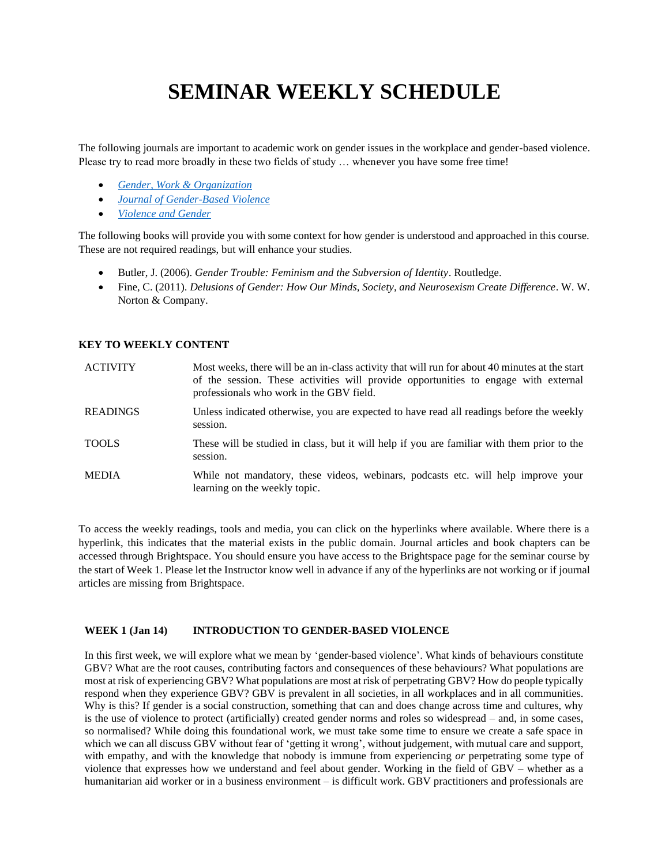# **SEMINAR WEEKLY SCHEDULE**

The following journals are important to academic work on gender issues in the workplace and gender-based violence. Please try to read more broadly in these two fields of study … whenever you have some free time!

- *[Gender, Work & Organization](https://onlinelibrary.wiley.com/journal/14680432)*
- *[Journal of Gender-Based Violence](https://policy.bristoluniversitypress.co.uk/journals/journal-of-gender-based-violence)*
- *[Violence and Gender](https://home.liebertpub.com/publications/violence-and-gender/620/overview)*

The following books will provide you with some context for how gender is understood and approached in this course. These are not required readings, but will enhance your studies.

- Butler, J. (2006). *Gender Trouble: Feminism and the Subversion of Identity*. Routledge.
- Fine, C. (2011). *Delusions of Gender: How Our Minds, Society, and Neurosexism Create Difference*. W. W. Norton & Company.

## **KEY TO WEEKLY CONTENT**

| <b>ACTIVITY</b> | Most weeks, there will be an in-class activity that will run for about 40 minutes at the start<br>of the session. These activities will provide opportunities to engage with external<br>professionals who work in the GBV field. |
|-----------------|-----------------------------------------------------------------------------------------------------------------------------------------------------------------------------------------------------------------------------------|
| <b>READINGS</b> | Unless indicated otherwise, you are expected to have read all readings before the weekly<br>session.                                                                                                                              |
| <b>TOOLS</b>    | These will be studied in class, but it will help if you are familiar with them prior to the<br>session.                                                                                                                           |
| <b>MEDIA</b>    | While not mandatory, these videos, webinars, podcasts etc. will help improve your<br>learning on the weekly topic.                                                                                                                |

To access the weekly readings, tools and media, you can click on the hyperlinks where available. Where there is a hyperlink, this indicates that the material exists in the public domain. Journal articles and book chapters can be accessed through Brightspace. You should ensure you have access to the Brightspace page for the seminar course by the start of Week 1. Please let the Instructor know well in advance if any of the hyperlinks are not working or if journal articles are missing from Brightspace.

## **WEEK 1 (Jan 14) INTRODUCTION TO GENDER-BASED VIOLENCE**

In this first week, we will explore what we mean by 'gender-based violence'. What kinds of behaviours constitute GBV? What are the root causes, contributing factors and consequences of these behaviours? What populations are most at risk of experiencing GBV? What populations are most at risk of perpetrating GBV? How do people typically respond when they experience GBV? GBV is prevalent in all societies, in all workplaces and in all communities. Why is this? If gender is a social construction, something that can and does change across time and cultures, why is the use of violence to protect (artificially) created gender norms and roles so widespread – and, in some cases, so normalised? While doing this foundational work, we must take some time to ensure we create a safe space in which we can all discuss GBV without fear of 'getting it wrong', without judgement, with mutual care and support, with empathy, and with the knowledge that nobody is immune from experiencing *or* perpetrating some type of violence that expresses how we understand and feel about gender. Working in the field of GBV – whether as a humanitarian aid worker or in a business environment – is difficult work. GBV practitioners and professionals are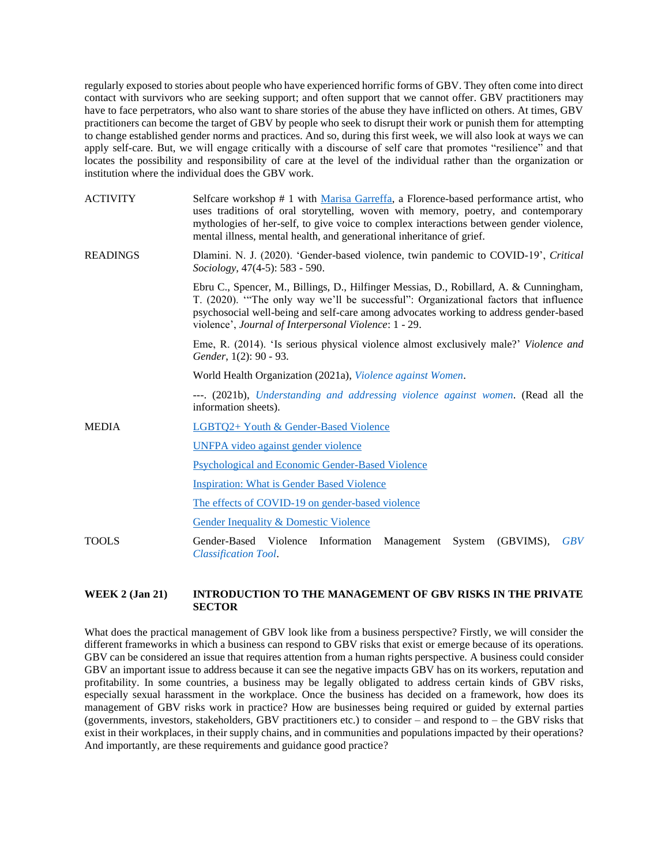regularly exposed to stories about people who have experienced horrific forms of GBV. They often come into direct contact with survivors who are seeking support; and often support that we cannot offer. GBV practitioners may have to face perpetrators, who also want to share stories of the abuse they have inflicted on others. At times, GBV practitioners can become the target of GBV by people who seek to disrupt their work or punish them for attempting to change established gender norms and practices. And so, during this first week, we will also look at ways we can apply self-care. But, we will engage critically with a discourse of self care that promotes "resilience" and that locates the possibility and responsibility of care at the level of the individual rather than the organization or institution where the individual does the GBV work.

| <b>ACTIVITY</b> | Selfcare workshop # 1 with Marisa Garreffa, a Florence-based performance artist, who<br>uses traditions of oral storytelling, woven with memory, poetry, and contemporary<br>mythologies of her-self, to give voice to complex interactions between gender violence,<br>mental illness, mental health, and generational inheritance of grief. |
|-----------------|-----------------------------------------------------------------------------------------------------------------------------------------------------------------------------------------------------------------------------------------------------------------------------------------------------------------------------------------------|
| <b>READINGS</b> | Dlamini. N. J. (2020). 'Gender-based violence, twin pandemic to COVID-19', Critical<br>Sociology, 47(4-5): 583 - 590.                                                                                                                                                                                                                         |
|                 | Ebru C., Spencer, M., Billings, D., Hilfinger Messias, D., Robillard, A. & Cunningham,<br>T. (2020). "The only way we'll be successful": Organizational factors that influence<br>psychosocial well-being and self-care among advocates working to address gender-based<br>violence', Journal of Interpersonal Violence: 1 - 29.              |
|                 | Eme, R. (2014). 'Is serious physical violence almost exclusively male?' Violence and<br>Gender, 1(2): 90 - 93.                                                                                                                                                                                                                                |
|                 | World Health Organization (2021a), Violence against Women.                                                                                                                                                                                                                                                                                    |
|                 | ---. (2021b), Understanding and addressing violence against women. (Read all the<br>information sheets).                                                                                                                                                                                                                                      |
| <b>MEDIA</b>    | LGBTQ2+ Youth & Gender-Based Violence                                                                                                                                                                                                                                                                                                         |
|                 | <b>UNFPA</b> video against gender violence                                                                                                                                                                                                                                                                                                    |
|                 | Psychological and Economic Gender-Based Violence                                                                                                                                                                                                                                                                                              |
|                 | <b>Inspiration: What is Gender Based Violence</b>                                                                                                                                                                                                                                                                                             |
|                 | The effects of COVID-19 on gender-based violence                                                                                                                                                                                                                                                                                              |
|                 | <b>Gender Inequality &amp; Domestic Violence</b>                                                                                                                                                                                                                                                                                              |
| TOOLS           | (GBVIMS),<br>Gender-Based Violence<br>Information<br>Management<br>System<br><b>GBV</b><br><b>Classification Tool.</b>                                                                                                                                                                                                                        |

## **WEEK 2 (Jan 21) INTRODUCTION TO THE MANAGEMENT OF GBV RISKS IN THE PRIVATE SECTOR**

What does the practical management of GBV look like from a business perspective? Firstly, we will consider the different frameworks in which a business can respond to GBV risks that exist or emerge because of its operations. GBV can be considered an issue that requires attention from a human rights perspective. A business could consider GBV an important issue to address because it can see the negative impacts GBV has on its workers, reputation and profitability. In some countries, a business may be legally obligated to address certain kinds of GBV risks, especially sexual harassment in the workplace. Once the business has decided on a framework, how does its management of GBV risks work in practice? How are businesses being required or guided by external parties (governments, investors, stakeholders, GBV practitioners etc.) to consider – and respond to – the GBV risks that exist in their workplaces, in their supply chains, and in communities and populations impacted by their operations? And importantly, are these requirements and guidance good practice?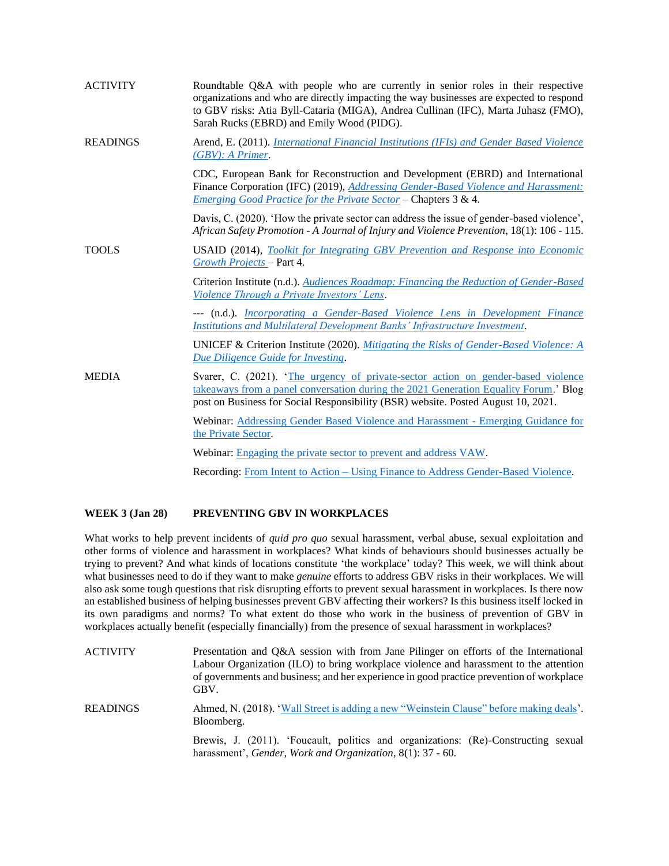| <b>ACTIVITY</b> | Roundtable Q&A with people who are currently in senior roles in their respective<br>organizations and who are directly impacting the way businesses are expected to respond<br>to GBV risks: Atia Byll-Cataria (MIGA), Andrea Cullinan (IFC), Marta Juhasz (FMO),<br>Sarah Rucks (EBRD) and Emily Wood (PIDG). |
|-----------------|----------------------------------------------------------------------------------------------------------------------------------------------------------------------------------------------------------------------------------------------------------------------------------------------------------------|
| <b>READINGS</b> | Arend, E. (2011). <i>International Financial Institutions (IFIs) and Gender Based Violence</i><br>$(GBV):$ A Primer.                                                                                                                                                                                           |
|                 | CDC, European Bank for Reconstruction and Development (EBRD) and International<br>Finance Corporation (IFC) (2019), <i>Addressing Gender-Based Violence and Harassment:</i><br>Emerging Good Practice for the Private Sector - Chapters 3 & 4.                                                                 |
|                 | Davis, C. (2020). 'How the private sector can address the issue of gender-based violence',<br>African Safety Promotion - A Journal of Injury and Violence Prevention, 18(1): 106 - 115.                                                                                                                        |
| <b>TOOLS</b>    | <b>USAID</b> (2014), Toolkit for Integrating GBV Prevention and Response into Economic<br>Growth Projects – Part 4.                                                                                                                                                                                            |
|                 | Criterion Institute (n.d.). Audiences Roadmap: Financing the Reduction of Gender-Based<br>Violence Through a Private Investors' Lens.                                                                                                                                                                          |
|                 | --- (n.d.). Incorporating a Gender-Based Violence Lens in Development Finance<br>Institutions and Multilateral Development Banks' Infrastructure Investment.                                                                                                                                                   |
|                 | UNICEF & Criterion Institute (2020). Mitigating the Risks of Gender-Based Violence: $A$<br>Due Diligence Guide for Investing.                                                                                                                                                                                  |
| <b>MEDIA</b>    | Svarer, C. (2021). 'The urgency of private-sector action on gender-based violence<br>takeaways from a panel conversation during the 2021 Generation Equality Forum.' Blog<br>post on Business for Social Responsibility (BSR) website. Posted August 10, 2021.                                                 |
|                 | Webinar: Addressing Gender Based Violence and Harassment - Emerging Guidance for<br>the Private Sector.                                                                                                                                                                                                        |
|                 | Webinar: Engaging the private sector to prevent and address VAW.                                                                                                                                                                                                                                               |
|                 | Recording: From Intent to Action – Using Finance to Address Gender-Based Violence.                                                                                                                                                                                                                             |

#### **WEEK 3 (Jan 28) PREVENTING GBV IN WORKPLACES**

What works to help prevent incidents of *quid pro quo* sexual harassment, verbal abuse, sexual exploitation and other forms of violence and harassment in workplaces? What kinds of behaviours should businesses actually be trying to prevent? And what kinds of locations constitute 'the workplace' today? This week, we will think about what businesses need to do if they want to make *genuine* efforts to address GBV risks in their workplaces. We will also ask some tough questions that risk disrupting efforts to prevent sexual harassment in workplaces. Is there now an established business of helping businesses prevent GBV affecting their workers? Is this business itself locked in its own paradigms and norms? To what extent do those who work in the business of prevention of GBV in workplaces actually benefit (especially financially) from the presence of sexual harassment in workplaces?

| <b>ACTIVITY</b> | Presentation and Q&A session with from Jane Pilinger on efforts of the International<br>Labour Organization (ILO) to bring workplace violence and harassment to the attention<br>of governments and business; and her experience in good practice prevention of workplace<br>GBV. |
|-----------------|-----------------------------------------------------------------------------------------------------------------------------------------------------------------------------------------------------------------------------------------------------------------------------------|
| <b>READINGS</b> | Ahmed, N. (2018). 'Wall Street is adding a new "Weinstein Clause" before making deals'.<br>Bloomberg.                                                                                                                                                                             |
|                 | Brewis, J. (2011). 'Foucault, politics and organizations: (Re)-Constructing sexual<br>harassment', Gender, Work and Organization, 8(1): 37 - 60.                                                                                                                                  |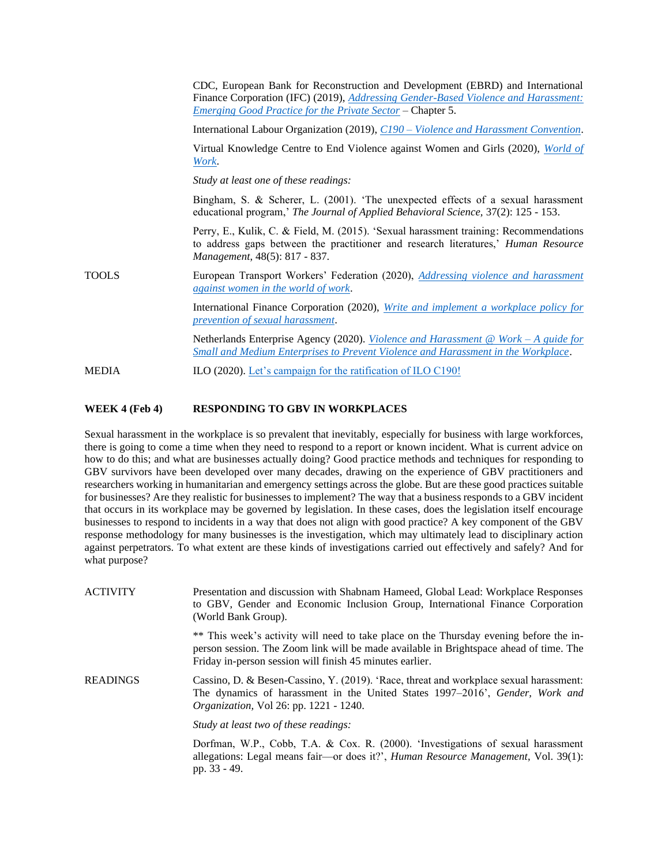| Work.<br>Study at least one of these readings:<br>Management, 48(5): 817 - 837.<br>TOOLS<br>against women in the world of work.<br>prevention of sexual harassment. |       | CDC, European Bank for Reconstruction and Development (EBRD) and International<br>Finance Corporation (IFC) (2019), <i>Addressing Gender-Based Violence and Harassment:</i><br>Emerging Good Practice for the Private Sector - Chapter 5. |
|---------------------------------------------------------------------------------------------------------------------------------------------------------------------|-------|-------------------------------------------------------------------------------------------------------------------------------------------------------------------------------------------------------------------------------------------|
|                                                                                                                                                                     |       | International Labour Organization (2019), C190 – Violence and Harassment Convention.                                                                                                                                                      |
|                                                                                                                                                                     |       | Virtual Knowledge Centre to End Violence against Women and Girls (2020), <i>World of</i>                                                                                                                                                  |
|                                                                                                                                                                     |       |                                                                                                                                                                                                                                           |
|                                                                                                                                                                     |       | Bingham, S. & Scherer, L. (2001). 'The unexpected effects of a sexual harassment<br>educational program,' The Journal of Applied Behavioral Science, 37(2): 125 - 153.                                                                    |
|                                                                                                                                                                     |       | Perry, E., Kulik, C. & Field, M. (2015). 'Sexual harassment training: Recommendations<br>to address gaps between the practitioner and research literatures,' Human Resource                                                               |
|                                                                                                                                                                     |       | European Transport Workers' Federation (2020), Addressing violence and harassment                                                                                                                                                         |
|                                                                                                                                                                     |       | International Finance Corporation (2020), Write and implement a workplace policy for                                                                                                                                                      |
|                                                                                                                                                                     |       | Netherlands Enterprise Agency (2020). <i>Violence and Harassment</i> @ <i>Work</i> – A guide for<br>Small and Medium Enterprises to Prevent Violence and Harassment in the Workplace.                                                     |
|                                                                                                                                                                     | MEDIA | ILO (2020). Let's campaign for the ratification of ILO C190!                                                                                                                                                                              |

## **WEEK 4 (Feb 4) RESPONDING TO GBV IN WORKPLACES**

Sexual harassment in the workplace is so prevalent that inevitably, especially for business with large workforces, there is going to come a time when they need to respond to a report or known incident. What is current advice on how to do this; and what are businesses actually doing? Good practice methods and techniques for responding to GBV survivors have been developed over many decades, drawing on the experience of GBV practitioners and researchers working in humanitarian and emergency settings across the globe. But are these good practices suitable for businesses? Are they realistic for businesses to implement? The way that a business responds to a GBV incident that occurs in its workplace may be governed by legislation. In these cases, does the legislation itself encourage businesses to respond to incidents in a way that does not align with good practice? A key component of the GBV response methodology for many businesses is the investigation, which may ultimately lead to disciplinary action against perpetrators. To what extent are these kinds of investigations carried out effectively and safely? And for what purpose?

| ACTIVITY | Presentation and discussion with Shabnam Hameed, Global Lead: Workplace Responses<br>to GBV, Gender and Economic Inclusion Group, International Finance Corporation<br>(World Bank Group).                                                   |
|----------|----------------------------------------------------------------------------------------------------------------------------------------------------------------------------------------------------------------------------------------------|
|          | ** This week's activity will need to take place on the Thursday evening before the in-<br>person session. The Zoom link will be made available in Brightspace ahead of time. The<br>Friday in-person session will finish 45 minutes earlier. |
| READINGS | Cassino, D. & Besen-Cassino, Y. (2019). 'Race, threat and workplace sexual harassment:<br>The dynamics of harassment in the United States 1997–2016', Gender, Work and<br><i>Organization, Vol 26: pp. 1221 - 1240.</i>                      |
|          | Study at least two of these readings:                                                                                                                                                                                                        |
|          | Dorfman, W.P., Cobb, T.A. & Cox. R. (2000). 'Investigations of sexual harassment<br>allegations: Legal means fair—or does it?', <i>Human Resource Management</i> , Vol. 39(1):<br>pp. 33 - 49.                                               |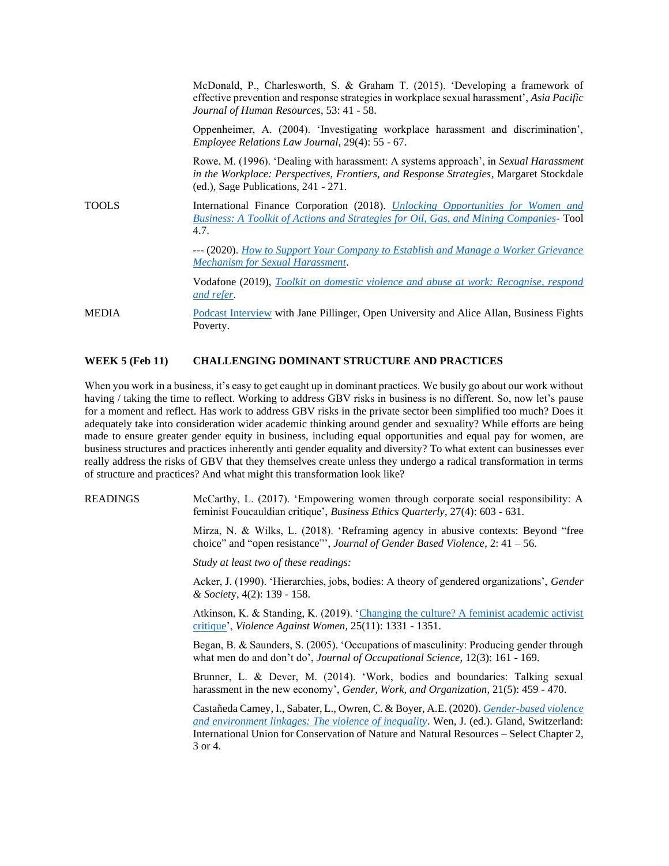|              | McDonald, P., Charlesworth, S. & Graham T. (2015). 'Developing a framework of<br>effective prevention and response strategies in workplace sexual harassment', Asia Pacific<br>Journal of Human Resources, 53: 41 - 58.  |
|--------------|--------------------------------------------------------------------------------------------------------------------------------------------------------------------------------------------------------------------------|
|              | Oppenheimer, A. (2004). 'Investigating workplace harassment and discrimination',<br>Employee Relations Law Journal, 29(4): 55 - 67.                                                                                      |
|              | Rowe, M. (1996). 'Dealing with harassment: A systems approach', in Sexual Harassment<br>in the Workplace: Perspectives, Frontiers, and Response Strategies, Margaret Stockdale<br>$(ed.),$ Sage Publications, 241 - 271. |
| <b>TOOLS</b> | International Finance Corporation (2018). <i>Unlocking Opportunities for Women and</i><br>Business: A Toolkit of Actions and Strategies for Oil, Gas, and Mining Companies-Tool<br>4.7.                                  |
|              | --- (2020). How to Support Your Company to Establish and Manage a Worker Grievance<br><b>Mechanism for Sexual Harassment.</b>                                                                                            |
|              | Vodafone (2019), Toolkit on domestic violence and abuse at work: Recognise, respond<br>and refer.                                                                                                                        |
| <b>MEDIA</b> | Podcast Interview with Jane Pillinger, Open University and Alice Allan, Business Fights<br>Poverty.                                                                                                                      |

#### **WEEK 5 (Feb 11) CHALLENGING DOMINANT STRUCTURE AND PRACTICES**

When you work in a business, it's easy to get caught up in dominant practices. We busily go about our work without having / taking the time to reflect. Working to address GBV risks in business is no different. So, now let's pause for a moment and reflect. Has work to address GBV risks in the private sector been simplified too much? Does it adequately take into consideration wider academic thinking around gender and sexuality? While efforts are being made to ensure greater gender equity in business, including equal opportunities and equal pay for women, are business structures and practices inherently anti gender equality and diversity? To what extent can businesses ever really address the risks of GBV that they themselves create unless they undergo a radical transformation in terms of structure and practices? And what might this transformation look like?

READINGS McCarthy, L. (2017). 'Empowering women through corporate social responsibility: A feminist Foucauldian critique', *Business Ethics Quarterly*, 27(4): 603 - 631.

> Mirza, N. & Wilks, L. (2018). 'Reframing agency in abusive contexts: Beyond "free choice" and "open resistance"', *Journal of Gender Based Violence*, 2: 41 – 56.

*Study at least two of these readings:*

Acker, J. (1990). 'Hierarchies, jobs, bodies: A theory of gendered organizations', *Gender & Societ*y, 4(2): 139 - 158.

Atkinson, K. & Standing, K. (2019). ['Changing the culture? A feminist academic activist](https://journals.sagepub.com/doi/pdf/10.1177/1077801219844609)  [critique'](https://journals.sagepub.com/doi/pdf/10.1177/1077801219844609), *Violence Against Women*, 25(11): 1331 - 1351.

Began, B. & Saunders, S. (2005). 'Occupations of masculinity: Producing gender through what men do and don't do', *Journal of Occupational Science*, 12(3): 161 - 169.

Brunner, L. & Dever, M. (2014). 'Work, bodies and boundaries: Talking sexual harassment in the new economy', *Gender, Work, and Organization*, 21(5): 459 - 470.

Castañeda Camey, I., Sabater, L., Owren, C. & Boyer, A.E. (2020). *[Gender-based violence](https://web.archive.org/web/20200211015201id_/https:/portals.iucn.org/library/sites/library/files/documents/2020-002-En.pdf#page=128)  [and environment linkages: The violence of inequality](https://web.archive.org/web/20200211015201id_/https:/portals.iucn.org/library/sites/library/files/documents/2020-002-En.pdf#page=128)*. Wen, J. (ed.). Gland, Switzerland: International Union for Conservation of Nature and Natural Resources – Select Chapter 2, 3 or 4.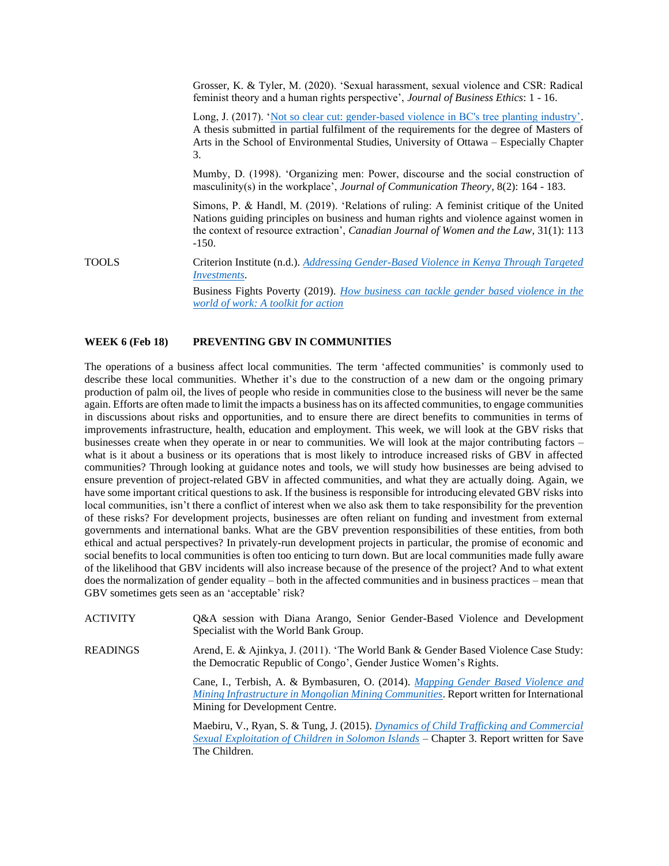|              | Grosser, K. & Tyler, M. (2020). 'Sexual harassment, sexual violence and CSR: Radical<br>feminist theory and a human rights perspective', Journal of Business Ethics: 1 - 16.                                                                                                                 |
|--------------|----------------------------------------------------------------------------------------------------------------------------------------------------------------------------------------------------------------------------------------------------------------------------------------------|
|              | Long, J. (2017). 'Not so clear cut: gender-based violence in BC's tree planting industry'.<br>A thesis submitted in partial fulfilment of the requirements for the degree of Masters of<br>Arts in the School of Environmental Studies, University of Ottawa – Especially Chapter<br>3.      |
|              | Mumby, D. (1998). 'Organizing men: Power, discourse and the social construction of<br>masculinity(s) in the workplace', <i>Journal of Communication Theory</i> , $8(2)$ : 164 - 183.                                                                                                         |
|              | Simons, P. & Handl, M. (2019). 'Relations of ruling: A feminist critique of the United<br>Nations guiding principles on business and human rights and violence against women in<br>the context of resource extraction', <i>Canadian Journal of Women and the Law</i> , 31(1): 113<br>$-150.$ |
| <b>TOOLS</b> | Criterion Institute (n.d.). Addressing Gender-Based Violence in Kenya Through Targeted<br><i>Investments.</i>                                                                                                                                                                                |
|              | Business Fights Poverty (2019). How business can tackle gender based violence in the<br>world of work: A toolkit for action                                                                                                                                                                  |

#### **WEEK 6 (Feb 18) PREVENTING GBV IN COMMUNITIES**

The operations of a business affect local communities. The term 'affected communities' is commonly used to describe these local communities. Whether it's due to the construction of a new dam or the ongoing primary production of palm oil, the lives of people who reside in communities close to the business will never be the same again. Efforts are often made to limit the impacts a business has on its affected communities, to engage communities in discussions about risks and opportunities, and to ensure there are direct benefits to communities in terms of improvements infrastructure, health, education and employment. This week, we will look at the GBV risks that businesses create when they operate in or near to communities. We will look at the major contributing factors – what is it about a business or its operations that is most likely to introduce increased risks of GBV in affected communities? Through looking at guidance notes and tools, we will study how businesses are being advised to ensure prevention of project-related GBV in affected communities, and what they are actually doing. Again, we have some important critical questions to ask. If the business is responsible for introducing elevated GBV risks into local communities, isn't there a conflict of interest when we also ask them to take responsibility for the prevention of these risks? For development projects, businesses are often reliant on funding and investment from external governments and international banks. What are the GBV prevention responsibilities of these entities, from both ethical and actual perspectives? In privately-run development projects in particular, the promise of economic and social benefits to local communities is often too enticing to turn down. But are local communities made fully aware of the likelihood that GBV incidents will also increase because of the presence of the project? And to what extent does the normalization of gender equality – both in the affected communities and in business practices – mean that GBV sometimes gets seen as an 'acceptable' risk?

| <b>ACTIVITY</b> | Q&A session with Diana Arango, Senior Gender-Based Violence and Development<br>Specialist with the World Bank Group.                                                                                                 |
|-----------------|----------------------------------------------------------------------------------------------------------------------------------------------------------------------------------------------------------------------|
| <b>READINGS</b> | Arend, E. & Ajinkya, J. (2011). 'The World Bank & Gender Based Violence Case Study:<br>the Democratic Republic of Congo', Gender Justice Women's Rights.                                                             |
|                 | Cane, I., Terbish, A. & Bymbasuren, O. (2014). <i>Mapping Gender Based Violence and</i><br>Mining Infrastructure in Mongolian Mining Communities. Report written for International<br>Mining for Development Centre. |
|                 | Maebiru, V., Ryan, S. & Tung, J. (2015). <i>Dynamics of Child Trafficking and Commercial</i><br>Sexual Exploitation of Children in Solomon Islands – Chapter 3. Report written for Save<br>The Children.             |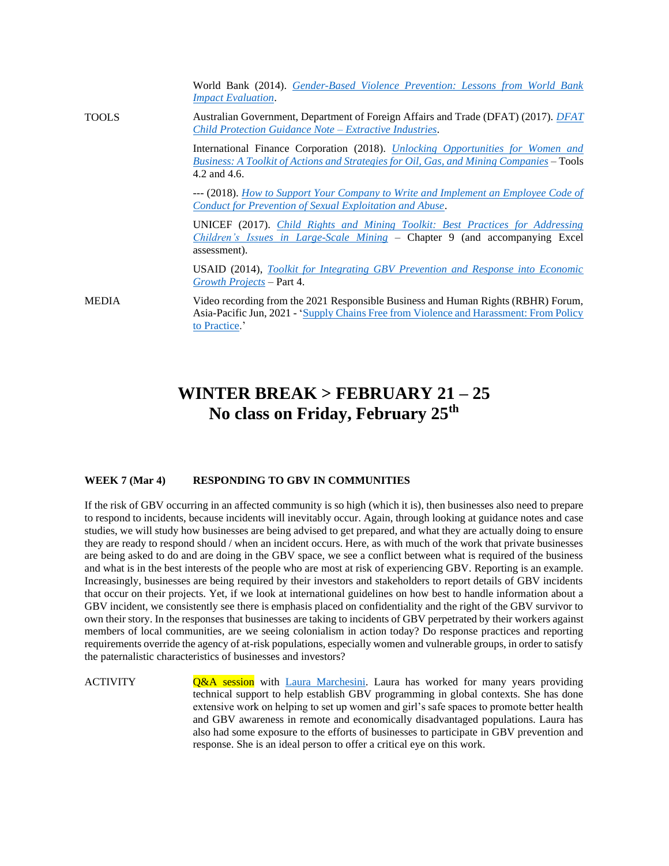|              | World Bank (2014). Gender-Based Violence Prevention: Lessons from World Bank<br><b>Impact Evaluation.</b>                                                                                          |
|--------------|----------------------------------------------------------------------------------------------------------------------------------------------------------------------------------------------------|
| <b>TOOLS</b> | Australian Government, Department of Foreign Affairs and Trade (DFAT) (2017). <i>DFAT</i><br>Child Protection Guidance Note – Extractive Industries.                                               |
|              | International Finance Corporation (2018). <i>Unlocking Opportunities for Women and</i><br>Business: A Toolkit of Actions and Strategies for Oil, Gas, and Mining Companies – Tools<br>4.2 and 4.6. |
|              | --- (2018). <i>How to Support Your Company to Write and Implement an Employee Code of</i><br>Conduct for Prevention of Sexual Exploitation and Abuse.                                              |
|              | UNICEF (2017). Child Rights and Mining Toolkit: Best Practices for Addressing<br><i>Children's Issues in Large-Scale Mining – Chapter 9 (and accompanying Excel</i><br>assessment).                |
|              | <b>USAID</b> (2014), Toolkit for Integrating GBV Prevention and Response into Economic<br>Growth Projects – Part 4.                                                                                |
| <b>MEDIA</b> | Video recording from the 2021 Responsible Business and Human Rights (RBHR) Forum,<br>Asia-Pacific Jun, 2021 - 'Supply Chains Free from Violence and Harassment: From Policy<br>to Practice.'       |

## **WINTER BREAK > FEBRUARY 21 – 25 No class on Friday, February 25th**

### **WEEK 7 (Mar 4) RESPONDING TO GBV IN COMMUNITIES**

If the risk of GBV occurring in an affected community is so high (which it is), then businesses also need to prepare to respond to incidents, because incidents will inevitably occur. Again, through looking at guidance notes and case studies, we will study how businesses are being advised to get prepared, and what they are actually doing to ensure they are ready to respond should / when an incident occurs. Here, as with much of the work that private businesses are being asked to do and are doing in the GBV space, we see a conflict between what is required of the business and what is in the best interests of the people who are most at risk of experiencing GBV. Reporting is an example. Increasingly, businesses are being required by their investors and stakeholders to report details of GBV incidents that occur on their projects. Yet, if we look at international guidelines on how best to handle information about a GBV incident, we consistently see there is emphasis placed on confidentiality and the right of the GBV survivor to own their story. In the responses that businesses are taking to incidents of GBV perpetrated by their workers against members of local communities, are we seeing colonialism in action today? Do response practices and reporting requirements override the agency of at-risk populations, especially women and vulnerable groups, in order to satisfy the paternalistic characteristics of businesses and investors?

ACTIVITY **Q&A session** with [Laura Marchesini.](https://www.linkedin.com/in/laura-marchesini-15072548/?originalSubdomain=hn) Laura has worked for many years providing technical support to help establish GBV programming in global contexts. She has done extensive work on helping to set up women and girl's safe spaces to promote better health and GBV awareness in remote and economically disadvantaged populations. Laura has also had some exposure to the efforts of businesses to participate in GBV prevention and response. She is an ideal person to offer a critical eye on this work.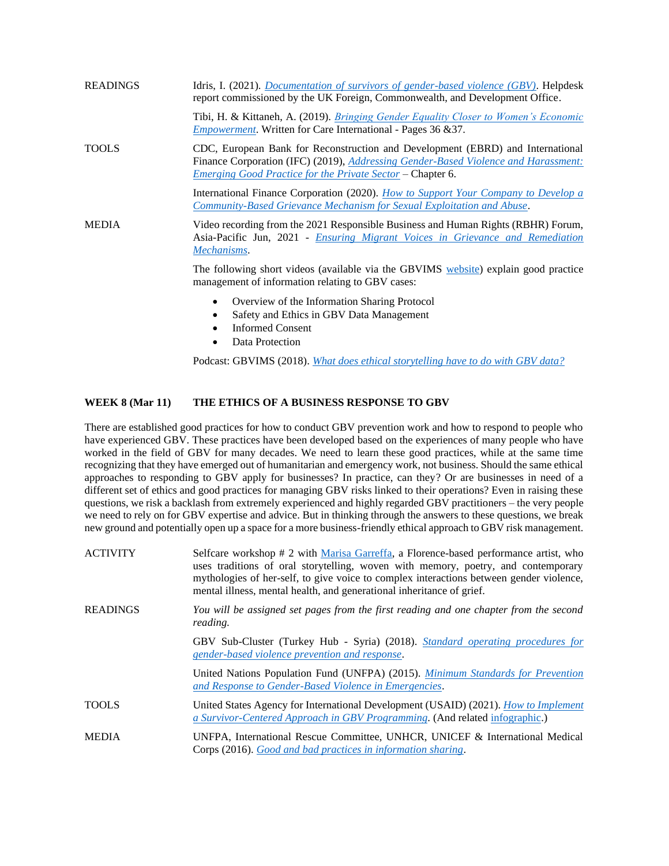| <b>READINGS</b> | Idris, I. (2021). <i>Documentation of survivors of gender-based violence (GBV)</i> . Helpdesk<br>report commissioned by the UK Foreign, Commonwealth, and Development Office.                                                                    |
|-----------------|--------------------------------------------------------------------------------------------------------------------------------------------------------------------------------------------------------------------------------------------------|
|                 | Tibi, H. & Kittaneh, A. (2019). <i>Bringing Gender Equality Closer to Women's Economic</i><br><i>Empowerment</i> . Written for Care International - Pages 36 & 37.                                                                               |
| <b>TOOLS</b>    | CDC, European Bank for Reconstruction and Development (EBRD) and International<br>Finance Corporation (IFC) (2019), <i>Addressing Gender-Based Violence and Harassment:</i><br><u>Emerging Good Practice for the Private Sector</u> – Chapter 6. |
|                 | International Finance Corporation (2020). <i>How to Support Your Company to Develop a</i><br>Community-Based Grievance Mechanism for Sexual Exploitation and Abuse.                                                                              |
| <b>MEDIA</b>    | Video recording from the 2021 Responsible Business and Human Rights (RBHR) Forum,<br>Asia-Pacific Jun, 2021 - <i>Ensuring Migrant Voices in Grievance and Remediation</i><br>Mechanisms.                                                         |
|                 | The following short videos (available via the GBVIMS website) explain good practice<br>management of information relating to GBV cases:                                                                                                          |
|                 | Overview of the Information Sharing Protocol<br>$\bullet$<br>Safety and Ethics in GBV Data Management<br>٠<br><b>Informed Consent</b><br>$\bullet$<br>Data Protection                                                                            |

Podcast: GBVIMS (2018). *[What does ethical storytelling have to do with GBV data?](https://soundcloud.com/gbvims/what-does-ethical-storytelling-have-to-do-with-gbv-data)*

## **WEEK 8 (Mar 11) THE ETHICS OF A BUSINESS RESPONSE TO GBV**

There are established good practices for how to conduct GBV prevention work and how to respond to people who have experienced GBV. These practices have been developed based on the experiences of many people who have worked in the field of GBV for many decades. We need to learn these good practices, while at the same time recognizing that they have emerged out of humanitarian and emergency work, not business. Should the same ethical approaches to responding to GBV apply for businesses? In practice, can they? Or are businesses in need of a different set of ethics and good practices for managing GBV risks linked to their operations? Even in raising these questions, we risk a backlash from extremely experienced and highly regarded GBV practitioners – the very people we need to rely on for GBV expertise and advice. But in thinking through the answers to these questions, we break new ground and potentially open up a space for a more business-friendly ethical approach to GBV risk management.

| <b>ACTIVITY</b> | Selfcare workshop # 2 with Marisa Garreffa, a Florence-based performance artist, who<br>uses traditions of oral storytelling, woven with memory, poetry, and contemporary<br>mythologies of her-self, to give voice to complex interactions between gender violence,<br>mental illness, mental health, and generational inheritance of grief. |
|-----------------|-----------------------------------------------------------------------------------------------------------------------------------------------------------------------------------------------------------------------------------------------------------------------------------------------------------------------------------------------|
| <b>READINGS</b> | You will be assigned set pages from the first reading and one chapter from the second<br>reading.                                                                                                                                                                                                                                             |
|                 | GBV Sub-Cluster (Turkey Hub - Syria) (2018). Standard operating procedures for<br>gender-based violence prevention and response.                                                                                                                                                                                                              |
|                 | United Nations Population Fund (UNFPA) (2015). Minimum Standards for Prevention<br>and Response to Gender-Based Violence in Emergencies.                                                                                                                                                                                                      |
| <b>TOOLS</b>    | United States Agency for International Development (USAID) (2021). How to Implement<br>a Survivor-Centered Approach in GBV Programming. (And related infographic.)                                                                                                                                                                            |
| <b>MEDIA</b>    | UNFPA, International Rescue Committee, UNHCR, UNICEF & International Medical<br>Corps (2016). Good and bad practices in information sharing.                                                                                                                                                                                                  |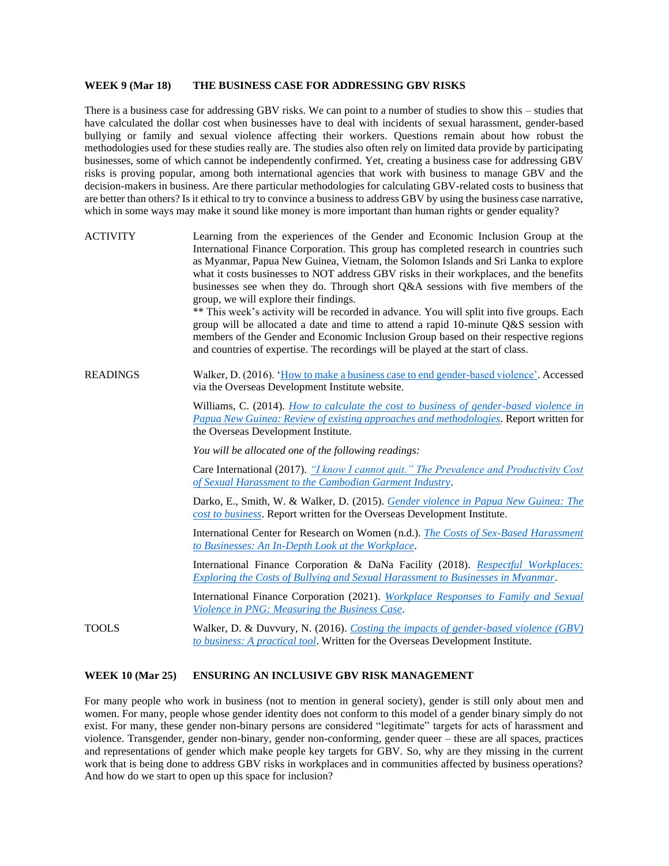#### **WEEK 9 (Mar 18) THE BUSINESS CASE FOR ADDRESSING GBV RISKS**

There is a business case for addressing GBV risks. We can point to a number of studies to show this – studies that have calculated the dollar cost when businesses have to deal with incidents of sexual harassment, gender-based bullying or family and sexual violence affecting their workers. Questions remain about how robust the methodologies used for these studies really are. The studies also often rely on limited data provide by participating businesses, some of which cannot be independently confirmed. Yet, creating a business case for addressing GBV risks is proving popular, among both international agencies that work with business to manage GBV and the decision-makers in business. Are there particular methodologies for calculating GBV-related costs to business that are better than others? Is it ethical to try to convince a business to address GBV by using the business case narrative, which in some ways may make it sound like money is more important than human rights or gender equality?

ACTIVITY Learning from the experiences of the Gender and Economic Inclusion Group at the International Finance Corporation. This group has completed research in countries such as Myanmar, Papua New Guinea, Vietnam, the Solomon Islands and Sri Lanka to explore what it costs businesses to NOT address GBV risks in their workplaces, and the benefits businesses see when they do. Through short Q&A sessions with five members of the group, we will explore their findings. \*\* This week's activity will be recorded in advance. You will split into five groups. Each group will be allocated a date and time to attend a rapid 10-minute Q&S session with members of the Gender and Economic Inclusion Group based on their respective regions and countries of expertise. The recordings will be played at the start of class. READINGS Walker, D. (2016). ['How to make a business case to end gender-based violence'.](https://odi.org/en/insights/how-to-make-a-business-case-to-end-gender-based-violence/) Accessed via the Overseas Development Institute website. Williams, C. (2014). *[How to calculate the cost to business of gender-based violence in](https://cdn.odi.org/media/documents/9062.pdf)  [Papua New Guinea: Review of existing approaches and methodologies](https://cdn.odi.org/media/documents/9062.pdf)*. Report written for the Overseas Development Institute. *You will be allocated one of the following readings:* Care International (2017). *["I know I cannot quit." The Prevalence and Productivity Cost](https://www.care-international.org/files/files/publications/SHCS_Full_Technical_Report_March_2017.pdf)  [of Sexual Harassment to the Cambodian Garment Industry](https://www.care-international.org/files/files/publications/SHCS_Full_Technical_Report_March_2017.pdf)*. Darko, E., Smith, W. & Walker, D. (2015). *[Gender violence in Papua New Guinea: The](https://www.pngbcfw.org/media/pages/resources/toolkits-and-good-practice/costing-the-impacts-of-gender-based-violence-gbv-to-business-a-practical-tool/5979c3a94d-1612367506/9886.pdf)  [cost to business](https://www.pngbcfw.org/media/pages/resources/toolkits-and-good-practice/costing-the-impacts-of-gender-based-violence-gbv-to-business-a-practical-tool/5979c3a94d-1612367506/9886.pdf)*. Report written for the Overseas Development Institute. International Center for Research on Women (n.d.). *[The Costs of Sex-Based Harassment](https://www.icrw.org/wp-content/uploads/2018/08/ICRW_SBHDonorBrief_v4_WebReady.pdf)  [to Businesses: An In-Depth Look at the Workplace](https://www.icrw.org/wp-content/uploads/2018/08/ICRW_SBHDonorBrief_v4_WebReady.pdf)*. International Finance Corporation & DaNa Facility (2018). *[Respectful Workplaces:](https://www.ifc.org/wps/wcm/connect/d54116ba-c277-47fa-aa53-f6a3f2fec0f4/IFC_RespectfulWorkplaces_ENG_full_report.pdf?MOD=AJPERES&CVID=mCjOJxb)  [Exploring the Costs of Bullying and Sexual Harassment to Businesses in Myanmar](https://www.ifc.org/wps/wcm/connect/d54116ba-c277-47fa-aa53-f6a3f2fec0f4/IFC_RespectfulWorkplaces_ENG_full_report.pdf?MOD=AJPERES&CVID=mCjOJxb)*. International Finance Corporation (2021). *[Workplace Responses to Family and Sexual](https://www.pngbcfw.org/media/pages/resources/case-studies/workplace-responses-to-family-and-sexual-violence-in-png-measuring-the-business-case/8c35ff113e-1627953361/png-fsv-report_final.pdf)  [Violence in PNG: Measuring the Business Case](https://www.pngbcfw.org/media/pages/resources/case-studies/workplace-responses-to-family-and-sexual-violence-in-png-measuring-the-business-case/8c35ff113e-1627953361/png-fsv-report_final.pdf)*. TOOLS Walker, D. & Duvvury, N. (2016). *[Costing the impacts of gender-based violence \(GBV\)](https://www.pngbcfw.org/media/pages/resources/toolkits-and-good-practice/costing-the-impacts-of-gender-based-violence-gbv-to-business-a-practical-tool/7e6449c9c3-1612367540/10288.pdf)  [to business: A practical tool](https://www.pngbcfw.org/media/pages/resources/toolkits-and-good-practice/costing-the-impacts-of-gender-based-violence-gbv-to-business-a-practical-tool/7e6449c9c3-1612367540/10288.pdf)*. Written for the Overseas Development Institute.

#### **WEEK 10 (Mar 25) ENSURING AN INCLUSIVE GBV RISK MANAGEMENT**

For many people who work in business (not to mention in general society), gender is still only about men and women. For many, people whose gender identity does not conform to this model of a gender binary simply do not exist. For many, these gender non-binary persons are considered "legitimate" targets for acts of harassment and violence. Transgender, gender non-binary, gender non-conforming, gender queer – these are all spaces, practices and representations of gender which make people key targets for GBV. So, why are they missing in the current work that is being done to address GBV risks in workplaces and in communities affected by business operations? And how do we start to open up this space for inclusion?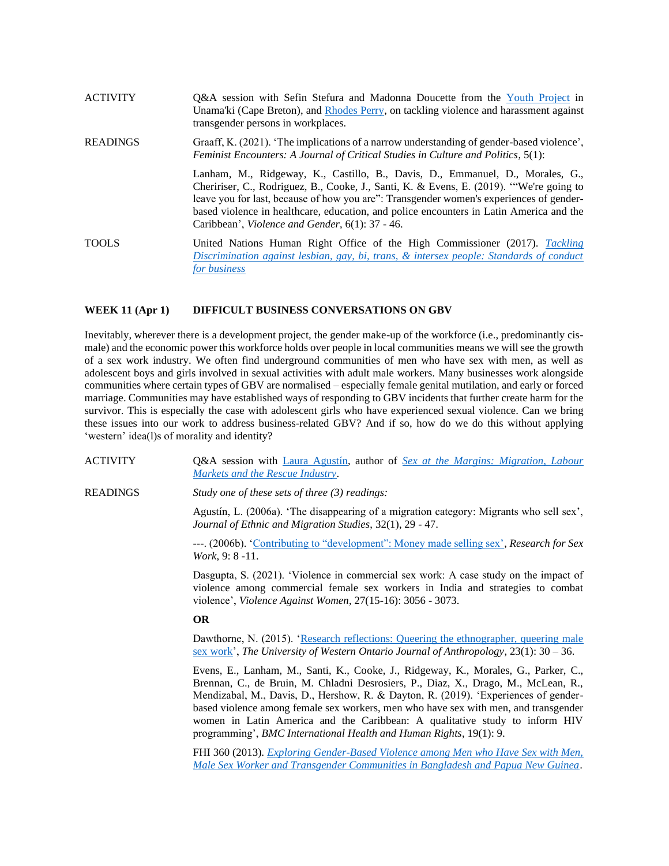| <b>ACTIVITY</b> | Q&A session with Sefin Stefura and Madonna Doucette from the Youth Project in<br>Unama'ki (Cape Breton), and Rhodes Perry, on tackling violence and harassment against<br>transgender persons in workplaces.                                                                                                                                                                                                      |
|-----------------|-------------------------------------------------------------------------------------------------------------------------------------------------------------------------------------------------------------------------------------------------------------------------------------------------------------------------------------------------------------------------------------------------------------------|
| <b>READINGS</b> | Graaff, K. (2021). 'The implications of a narrow understanding of gender-based violence',<br><i>Feminist Encounters: A Journal of Critical Studies in Culture and Politics, 5(1):</i>                                                                                                                                                                                                                             |
|                 | Lanham, M., Ridgeway, K., Castillo, B., Davis, D., Emmanuel, D., Morales, G.,<br>Cheririser, C., Rodriguez, B., Cooke, J., Santi, K. & Evens, E. (2019). "We're going to<br>leave you for last, because of how you are": Transgender women's experiences of gender-<br>based violence in healthcare, education, and police encounters in Latin America and the<br>Caribbean', Violence and Gender, 6(1): 37 - 46. |
| <b>TOOLS</b>    | United Nations Human Right Office of the High Commissioner (2017). Tackling<br>Discrimination against lesbian, gay, bi, trans, & intersex people: Standards of conduct<br>for business                                                                                                                                                                                                                            |

#### **WEEK 11 (Apr 1) DIFFICULT BUSINESS CONVERSATIONS ON GBV**

Inevitably, wherever there is a development project, the gender make-up of the workforce (i.e., predominantly cismale) and the economic power this workforce holds over people in local communities means we will see the growth of a sex work industry. We often find underground communities of men who have sex with men, as well as adolescent boys and girls involved in sexual activities with adult male workers. Many businesses work alongside communities where certain types of GBV are normalised – especially female genital mutilation, and early or forced marriage. Communities may have established ways of responding to GBV incidents that further create harm for the survivor. This is especially the case with adolescent girls who have experienced sexual violence. Can we bring these issues into our work to address business-related GBV? And if so, how do we do this without applying 'western' idea(l)s of morality and identity?

ACTIVITY Q&A session with [Laura Agustín,](https://www.lauraagustin.com/) author of *[Sex at the Margins: Migration, Labour](https://www.amazon.com/Sex-Margins-Migration-Markets-Industry/dp/1842778609)  [Markets and the Rescue Industry](https://www.amazon.com/Sex-Margins-Migration-Markets-Industry/dp/1842778609)*.

READINGS *Study one of these sets of three (3) readings:*

Agustín, L. (2006a). 'The disappearing of a migration category: Migrants who sell sex', *Journal of Ethnic and Migration Studies*, 32(1), 29 - 47.

---. (2006b). ['Contributing to "development": Money made selling sex',](https://www.lauraagustin.com/wp-content/uploads/2010/01/LAgustin_Contributing_to_Development_Money_Made_Selling_Sex.pdf) *Research for Sex Work*, 9: 8 -11.

Dasgupta, S. (2021). 'Violence in commercial sex work: A case study on the impact of violence among commercial female sex workers in India and strategies to combat violence', *Violence Against Women*, 27(15-16): 3056 - 3073.

#### **OR**

Dawthorne, N. (2015). 'Research reflections: Queering the ethnographer, queering male [sex work'](https://ojs.lib.uwo.ca/index.php/uwoja/article/view/8958/7152), *The University of Western Ontario Journal of Anthropology*, 23(1): 30 – 36.

Evens, E., Lanham, M., Santi, K., Cooke, J., Ridgeway, K., Morales, G., Parker, C., Brennan, C., de Bruin, M. Chladni Desrosiers, P., Diaz, X., Drago, M., McLean, R., Mendizabal, M., Davis, D., Hershow, R. & Dayton, R. (2019). 'Experiences of genderbased violence among female sex workers, men who have sex with men, and transgender women in Latin America and the Caribbean: A qualitative study to inform HIV programming', *BMC International Health and Human Rights*, 19(1): 9.

FHI 360 (2013). *[Exploring Gender-Based Violence among Men who Have Sex with Men,](https://www.fhi360.org/sites/default/files/media/documents/GBV%20Study%20report_Final.pdf)  [Male Sex Worker and Transgender Communities in Bangladesh and Papua New Guinea](https://www.fhi360.org/sites/default/files/media/documents/GBV%20Study%20report_Final.pdf)*.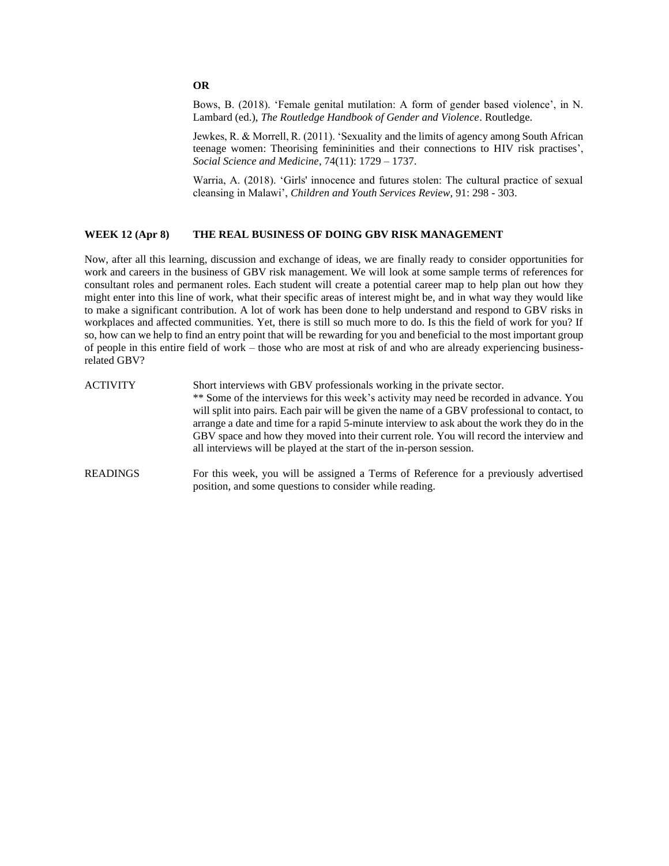## **OR**

Bows, B. (2018). 'Female genital mutilation: A form of gender based violence', in N. Lambard (ed.), *The Routledge Handbook of Gender and Violence*. Routledge.

Jewkes, R. & Morrell, R. (2011). 'Sexuality and the limits of agency among South African teenage women: Theorising femininities and their connections to HIV risk practises', *Social Science and Medicine*, 74(11): 1729 – 1737.

Warria, A. (2018). 'Girls' innocence and futures stolen: The cultural practice of sexual cleansing in Malawi', *Children and Youth Services Review*, 91: 298 - 303.

## **WEEK 12 (Apr 8) THE REAL BUSINESS OF DOING GBV RISK MANAGEMENT**

Now, after all this learning, discussion and exchange of ideas, we are finally ready to consider opportunities for work and careers in the business of GBV risk management. We will look at some sample terms of references for consultant roles and permanent roles. Each student will create a potential career map to help plan out how they might enter into this line of work, what their specific areas of interest might be, and in what way they would like to make a significant contribution. A lot of work has been done to help understand and respond to GBV risks in workplaces and affected communities. Yet, there is still so much more to do. Is this the field of work for you? If so, how can we help to find an entry point that will be rewarding for you and beneficial to the most important group of people in this entire field of work – those who are most at risk of and who are already experiencing businessrelated GBV?

| ACTIVITY | Short interviews with GBV professionals working in the private sector.<br>** Some of the interviews for this week's activity may need be recorded in advance. You<br>will split into pairs. Each pair will be given the name of a GBV professional to contact, to<br>arrange a date and time for a rapid 5-minute interview to ask about the work they do in the<br>GBV space and how they moved into their current role. You will record the interview and<br>all interviews will be played at the start of the in-person session. |
|----------|-------------------------------------------------------------------------------------------------------------------------------------------------------------------------------------------------------------------------------------------------------------------------------------------------------------------------------------------------------------------------------------------------------------------------------------------------------------------------------------------------------------------------------------|
| READINGS | For this week, you will be assigned a Terms of Reference for a previously advertised                                                                                                                                                                                                                                                                                                                                                                                                                                                |

position, and some questions to consider while reading.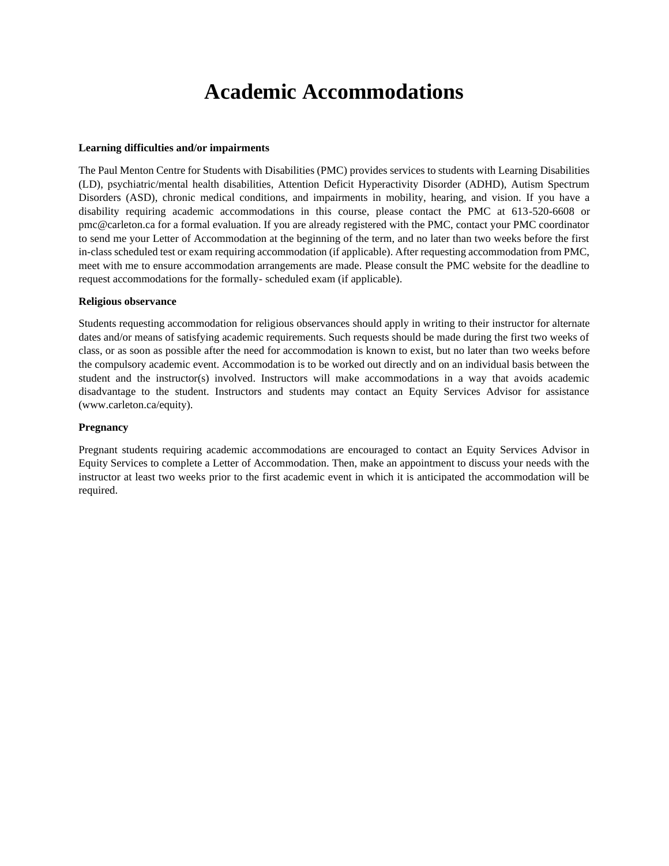## **Academic Accommodations**

#### **Learning difficulties and/or impairments**

The Paul Menton Centre for Students with Disabilities (PMC) provides services to students with Learning Disabilities (LD), psychiatric/mental health disabilities, Attention Deficit Hyperactivity Disorder (ADHD), Autism Spectrum Disorders (ASD), chronic medical conditions, and impairments in mobility, hearing, and vision. If you have a disability requiring academic accommodations in this course, please contact the PMC at 613-520-6608 or pmc@carleton.ca for a formal evaluation. If you are already registered with the PMC, contact your PMC coordinator to send me your Letter of Accommodation at the beginning of the term, and no later than two weeks before the first in-class scheduled test or exam requiring accommodation (if applicable). After requesting accommodation from PMC, meet with me to ensure accommodation arrangements are made. Please consult the PMC website for the deadline to request accommodations for the formally- scheduled exam (if applicable).

#### **Religious observance**

Students requesting accommodation for religious observances should apply in writing to their instructor for alternate dates and/or means of satisfying academic requirements. Such requests should be made during the first two weeks of class, or as soon as possible after the need for accommodation is known to exist, but no later than two weeks before the compulsory academic event. Accommodation is to be worked out directly and on an individual basis between the student and the instructor(s) involved. Instructors will make accommodations in a way that avoids academic disadvantage to the student. Instructors and students may contact an Equity Services Advisor for assistance (www.carleton.ca/equity).

#### **Pregnancy**

Pregnant students requiring academic accommodations are encouraged to contact an Equity Services Advisor in Equity Services to complete a Letter of Accommodation. Then, make an appointment to discuss your needs with the instructor at least two weeks prior to the first academic event in which it is anticipated the accommodation will be required.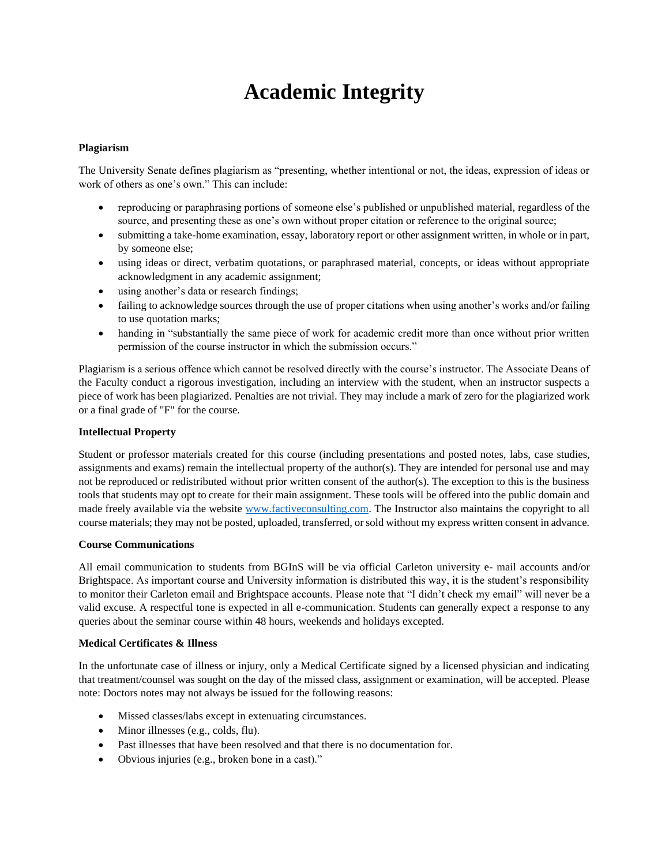# **Academic Integrity**

## **Plagiarism**

The University Senate defines plagiarism as "presenting, whether intentional or not, the ideas, expression of ideas or work of others as one's own." This can include:

- reproducing or paraphrasing portions of someone else's published or unpublished material, regardless of the source, and presenting these as one's own without proper citation or reference to the original source;
- submitting a take-home examination, essay, laboratory report or other assignment written, in whole or in part, by someone else;
- using ideas or direct, verbatim quotations, or paraphrased material, concepts, or ideas without appropriate acknowledgment in any academic assignment;
- using another's data or research findings;
- failing to acknowledge sources through the use of proper citations when using another's works and/or failing to use quotation marks;
- handing in "substantially the same piece of work for academic credit more than once without prior written permission of the course instructor in which the submission occurs."

Plagiarism is a serious offence which cannot be resolved directly with the course's instructor. The Associate Deans of the Faculty conduct a rigorous investigation, including an interview with the student, when an instructor suspects a piece of work has been plagiarized. Penalties are not trivial. They may include a mark of zero for the plagiarized work or a final grade of "F" for the course.

### **Intellectual Property**

Student or professor materials created for this course (including presentations and posted notes, labs, case studies, assignments and exams) remain the intellectual property of the author(s). They are intended for personal use and may not be reproduced or redistributed without prior written consent of the author(s). The exception to this is the business tools that students may opt to create for their main assignment. These tools will be offered into the public domain and made freely available via the website [www.factiveconsulting.com.](http://www.factiveconsulting.com/) The Instructor also maintains the copyright to all course materials; they may not be posted, uploaded, transferred, or sold without my express written consent in advance.

#### **Course Communications**

All email communication to students from BGInS will be via official Carleton university e- mail accounts and/or Brightspace. As important course and University information is distributed this way, it is the student's responsibility to monitor their Carleton email and Brightspace accounts. Please note that "I didn't check my email" will never be a valid excuse. A respectful tone is expected in all e-communication. Students can generally expect a response to any queries about the seminar course within 48 hours, weekends and holidays excepted.

## **Medical Certificates & Illness**

In the unfortunate case of illness or injury, only a Medical Certificate signed by a licensed physician and indicating that treatment/counsel was sought on the day of the missed class, assignment or examination, will be accepted. Please note: Doctors notes may not always be issued for the following reasons:

- Missed classes/labs except in extenuating circumstances.
- Minor illnesses (e.g., colds, flu).
- Past illnesses that have been resolved and that there is no documentation for.
- Obvious injuries (e.g., broken bone in a cast)."